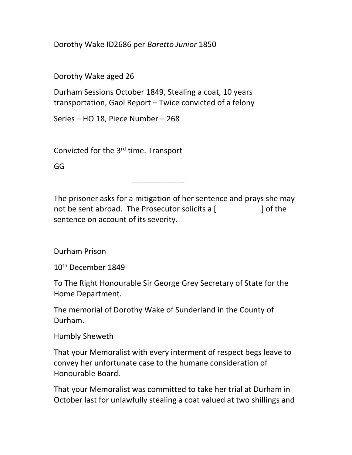Dorothy Wake ID2686 per Baretto Junior 1850

Dorothy Wake aged 26

Durham Sessions October 1849, Stealing a coat, 10 years transportation, Gaol Report – Twice convicted of a felony

Series – HO 18, Piece Number – 268

----------------------------

Convicted for the 3rd time. Transport

GG

--------------------

The prisoner asks for a mitigation of her sentence and prays she may not be sent abroad. The Prosecutor solicits a  $\lceil$   $\rceil$  and  $\lceil$  of the sentence on account of its severity.

-----------------------------

Durham Prison

10th December 1849

To The Right Honourable Sir George Grey Secretary of State for the Home Department.

The memorial of Dorothy Wake of Sunderland in the County of Durham.

Humbly Sheweth

That your Memoralist with every interment of respect begs leave to convey her unfortunate case to the humane consideration of Honourable Board.

That your Memoralist was committed to take her trial at Durham in October last for unlawfully stealing a coat valued at two shillings and